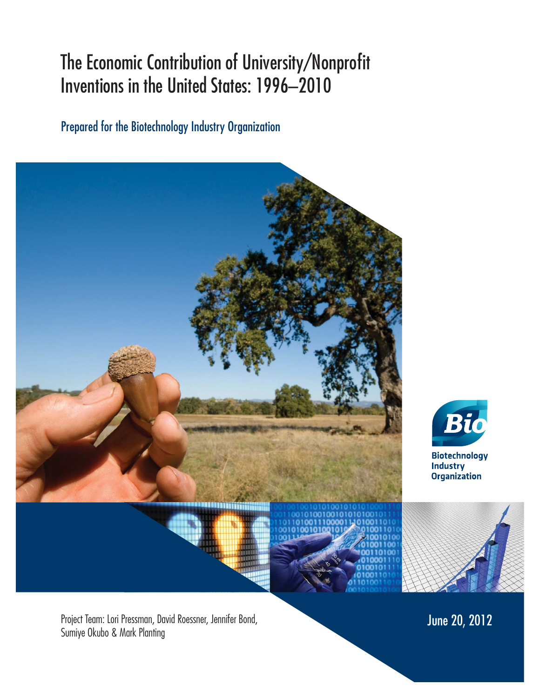# The Economic Contribution of University/Nonprofit Inventions in the United States: 1996–2010

Prepared for the Biotechnology Industry Organization





**Industry Organization** 

Project Team: Lori Pressman, David Roessner, Jennifer Bond, National Communication of The Communication of The Co<br>Sumiye Okubo & Mark Planting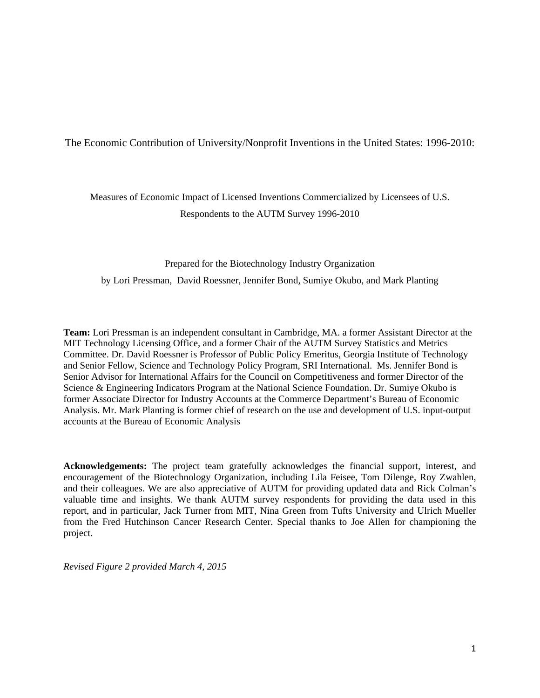## The Economic Contribution of University/Nonprofit Inventions in the United States: 1996-2010:

## Measures of Economic Impact of Licensed Inventions Commercialized by Licensees of U.S. Respondents to the AUTM Survey 1996-2010

#### Prepared for the Biotechnology Industry Organization

by Lori Pressman, David Roessner, Jennifer Bond, Sumiye Okubo, and Mark Planting

**Team:** Lori Pressman is an independent consultant in Cambridge, MA. a former Assistant Director at the MIT Technology Licensing Office, and a former Chair of the AUTM Survey Statistics and Metrics Committee. Dr. David Roessner is Professor of Public Policy Emeritus, Georgia Institute of Technology and Senior Fellow, Science and Technology Policy Program, SRI International. Ms. Jennifer Bond is Senior Advisor for International Affairs for the Council on Competitiveness and former Director of the Science & Engineering Indicators Program at the National Science Foundation. Dr. Sumiye Okubo is former Associate Director for Industry Accounts at the Commerce Department's Bureau of Economic Analysis. Mr. Mark Planting is former chief of research on the use and development of U.S. input-output accounts at the Bureau of Economic Analysis

**Acknowledgements:** The project team gratefully acknowledges the financial support, interest, and encouragement of the Biotechnology Organization, including Lila Feisee, Tom Dilenge, Roy Zwahlen, and their colleagues. We are also appreciative of AUTM for providing updated data and Rick Colman's valuable time and insights. We thank AUTM survey respondents for providing the data used in this report, and in particular, Jack Turner from MIT, Nina Green from Tufts University and Ulrich Mueller from the Fred Hutchinson Cancer Research Center. Special thanks to Joe Allen for championing the project.

*Revised Figure 2 provided March 4, 2015*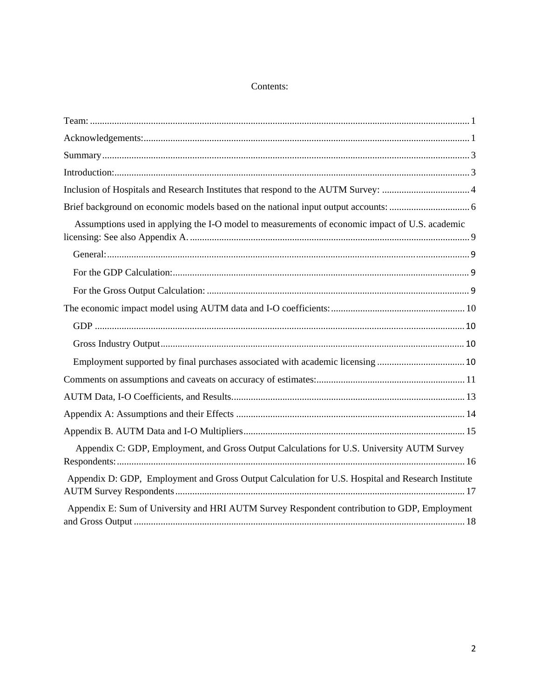## Contents:

| Assumptions used in applying the I-O model to measurements of economic impact of U.S. academic    |  |
|---------------------------------------------------------------------------------------------------|--|
|                                                                                                   |  |
|                                                                                                   |  |
|                                                                                                   |  |
|                                                                                                   |  |
|                                                                                                   |  |
|                                                                                                   |  |
| Employment supported by final purchases associated with academic licensing  10                    |  |
|                                                                                                   |  |
|                                                                                                   |  |
|                                                                                                   |  |
|                                                                                                   |  |
| Appendix C: GDP, Employment, and Gross Output Calculations for U.S. University AUTM Survey        |  |
| Appendix D: GDP, Employment and Gross Output Calculation for U.S. Hospital and Research Institute |  |
| Appendix E: Sum of University and HRI AUTM Survey Respondent contribution to GDP, Employment      |  |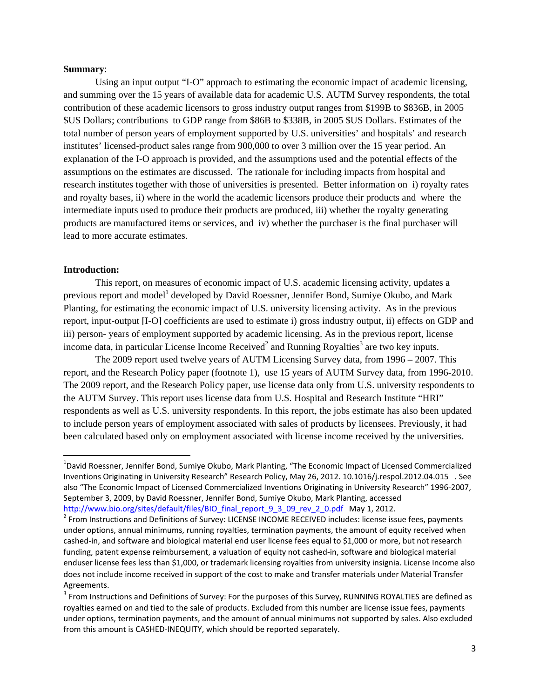#### **Summary**:

Using an input output "I-O" approach to estimating the economic impact of academic licensing, and summing over the 15 years of available data for academic U.S. AUTM Survey respondents, the total contribution of these academic licensors to gross industry output ranges from \$199B to \$836B, in 2005 \$US Dollars; contributions to GDP range from \$86B to \$338B, in 2005 \$US Dollars. Estimates of the total number of person years of employment supported by U.S. universities' and hospitals' and research institutes' licensed-product sales range from 900,000 to over 3 million over the 15 year period. An explanation of the I-O approach is provided, and the assumptions used and the potential effects of the assumptions on the estimates are discussed. The rationale for including impacts from hospital and research institutes together with those of universities is presented. Better information on i) royalty rates and royalty bases, ii) where in the world the academic licensors produce their products and where the intermediate inputs used to produce their products are produced, iii) whether the royalty generating products are manufactured items or services, and iv) whether the purchaser is the final purchaser will lead to more accurate estimates.

#### **Introduction:**

 This report, on measures of economic impact of U.S. academic licensing activity, updates a previous report and model<sup>1</sup> developed by David Roessner, Jennifer Bond, Sumiye Okubo, and Mark Planting, for estimating the economic impact of U.S. university licensing activity. As in the previous report, input-output [I-O] coefficients are used to estimate i) gross industry output, ii) effects on GDP and iii) person- years of employment supported by academic licensing. As in the previous report, license income data, in particular License Income Received<sup>2</sup> and Running Royalties<sup>3</sup> are two key inputs.

 The 2009 report used twelve years of AUTM Licensing Survey data, from 1996 – 2007. This report, and the Research Policy paper (footnote 1), use 15 years of AUTM Survey data, from 1996-2010. The 2009 report, and the Research Policy paper, use license data only from U.S. university respondents to the AUTM Survey. This report uses license data from U.S. Hospital and Research Institute "HRI" respondents as well as U.S. university respondents. In this report, the jobs estimate has also been updated to include person years of employment associated with sales of products by licensees. Previously, it had been calculated based only on employment associated with license income received by the universities.

<sup>&</sup>lt;sup>1</sup>David Roessner, Jennifer Bond, Sumiye Okubo, Mark Planting, "The Economic Impact of Licensed Commercialized Inventions Originating in University Research" Research Policy, May 26, 2012. 10.1016/j.respol.2012.04.015 . See also "The Economic Impact of Licensed Commercialized Inventions Originating in University Research" 1996‐2007, September 3, 2009, by David Roessner, Jennifer Bond, Sumiye Okubo, Mark Planting, accessed<br>http://www.bio.org/sites/default/files/BIO final report 9 3 09 rev 2 0.pdf May 1, 2012.

 $^2$  From Instructions and Definitions of Survey: LICENSE INCOME RECEIVED includes: license issue fees, payments under options, annual minimums, running royalties, termination payments, the amount of equity received when cashed‐in, and software and biological material end user license fees equal to \$1,000 or more, but not research funding, patent expense reimbursement, a valuation of equity not cashed‐in, software and biological material enduser license fees less than \$1,000, or trademark licensing royalties from university insignia. License Income also does not include income received in support of the cost to make and transfer materials under Material Transfer Agreements.

<sup>&</sup>lt;sup>3</sup> From Instructions and Definitions of Survey: For the purposes of this Survey, RUNNING ROYALTIES are defined as royalties earned on and tied to the sale of products. Excluded from this number are license issue fees, payments under options, termination payments, and the amount of annual minimums not supported by sales. Also excluded from this amount is CASHED‐INEQUITY, which should be reported separately.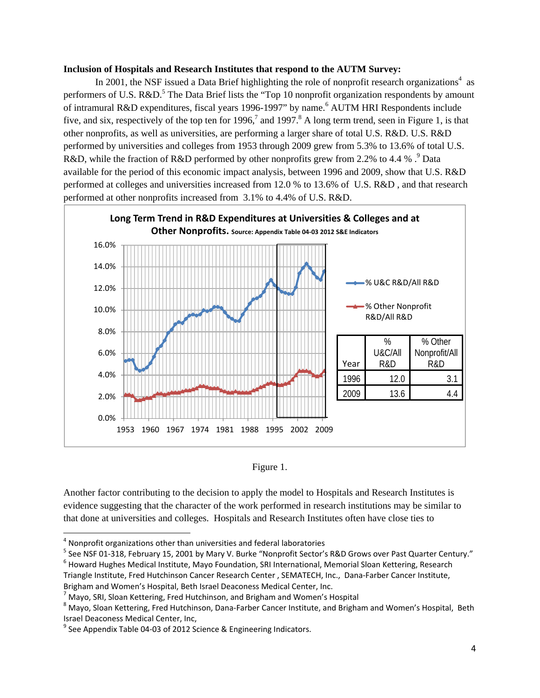### **Inclusion of Hospitals and Research Institutes that respond to the AUTM Survey:**

In 2001, the NSF issued a Data Brief highlighting the role of nonprofit research organizations<sup>4</sup> as performers of U.S. R&D.<sup>5</sup> The Data Brief lists the "Top 10 nonprofit organization respondents by amount of intramural R&D expenditures, fiscal years 1996-1997" by name.<sup>6</sup> AUTM HRI Respondents include five, and six, respectively of the top ten for 1996,<sup>7</sup> and 1997.<sup>8</sup> A long term trend, seen in Figure 1, is that other nonprofits, as well as universities, are performing a larger share of total U.S. R&D. U.S. R&D performed by universities and colleges from 1953 through 2009 grew from 5.3% to 13.6% of total U.S. R&D, while the fraction of R&D performed by other nonprofits grew from 2.2% to 4.4 %  $\cdot$ <sup>9</sup> Data available for the period of this economic impact analysis, between 1996 and 2009, show that U.S. R&D performed at colleges and universities increased from 12.0 % to 13.6% of U.S. R&D , and that research performed at other nonprofits increased from 3.1% to 4.4% of U.S. R&D.





Another factor contributing to the decision to apply the model to Hospitals and Research Institutes is evidence suggesting that the character of the work performed in research institutions may be similar to that done at universities and colleges. Hospitals and Research Institutes often have close ties to

<sup>&</sup>lt;sup>4</sup> Nonprofit organizations other than universities and federal laboratories<br>
<sup>5</sup> See NSF 01-318, February 15, 2001 by Mary V. Burke "Nonprofit Sector's R&D Grows over Past Quarter Century."<br>
<sup>6</sup> Howard Hughes Medical Ins Triangle Institute, Fred Hutchinson Cancer Research Center , SEMATECH, Inc., Dana‐Farber Cancer Institute,

Brigham and Women's Hospital, Beth Israel Deaconess Medical Center, Inc.<br><sup>7</sup> Mayo, SRI, Sloan Kettering, Fred Hutchinson, and Brigham and Women's Hospital<br><sup>8</sup> Mavo, Sloan Kettering, Fred Hutchinson, Dana-Farber Cancer Inst Israel Deaconess Medical Center, Inc,  $\frac{9}{2}$  See Appendix Table 04-03 of 2012 Science & Engineering Indicators.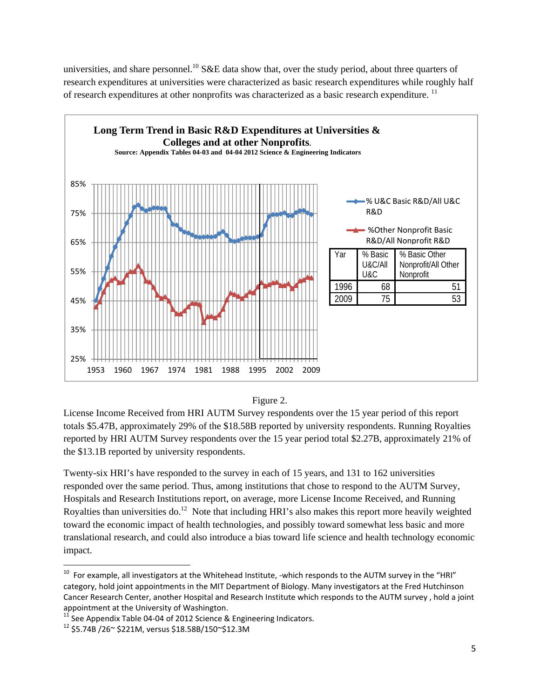universities, and share personnel.<sup>10</sup> S&E data show that, over the study period, about three quarters of research expenditures at universities were characterized as basic research expenditures while roughly half of research expenditures at other nonprofits was characterized as a basic research expenditure.<sup>11</sup>





License Income Received from HRI AUTM Survey respondents over the 15 year period of this report totals \$5.47B, approximately 29% of the \$18.58B reported by university respondents. Running Royalties reported by HRI AUTM Survey respondents over the 15 year period total \$2.27B, approximately 21% of the \$13.1B reported by university respondents.

Twenty-six HRI's have responded to the survey in each of 15 years, and 131 to 162 universities responded over the same period. Thus, among institutions that chose to respond to the AUTM Survey, Hospitals and Research Institutions report, on average, more License Income Received, and Running Royalties than universities do.<sup>12</sup> Note that including HRI's also makes this report more heavily weighted toward the economic impact of health technologies, and possibly toward somewhat less basic and more translational research, and could also introduce a bias toward life science and health technology economic impact.

 $10$  For example, all investigators at the Whitehead Institute, -which responds to the AUTM survey in the "HRI" category, hold joint appointments in the MIT Department of Biology. Many investigators at the Fred Hutchinson Cancer Research Center, another Hospital and Research Institute which responds to the AUTM survey , hold a joint appointment at the University of Washington.<br><sup>11</sup> See Appendix Table 04-04 of 2012 Science & Engineering Indicators.<br><sup>12</sup> \$5.74B /26~ \$221M, versus \$18.58B/150~\$12.3M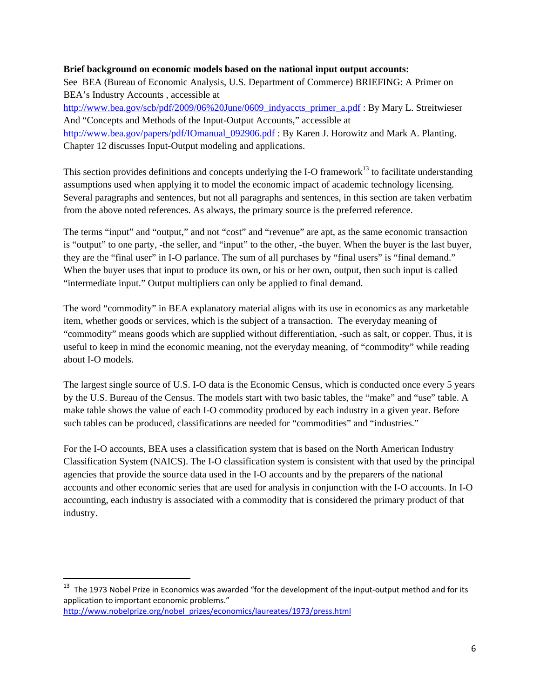### **Brief background on economic models based on the national input output accounts:**

See BEA (Bureau of Economic Analysis, U.S. Department of Commerce) BRIEFING: A Primer on BEA's Industry Accounts , accessible at

http://www.bea.gov/scb/pdf/2009/06%20June/0609\_indyaccts\_primer\_a.pdf : By Mary L. Streitwieser And "Concepts and Methods of the Input-Output Accounts," accessible at http://www.bea.gov/papers/pdf/IOmanual\_092906.pdf : By Karen J. Horowitz and Mark A. Planting. Chapter 12 discusses Input-Output modeling and applications.

This section provides definitions and concepts underlying the I-O framework<sup>13</sup> to facilitate understanding assumptions used when applying it to model the economic impact of academic technology licensing. Several paragraphs and sentences, but not all paragraphs and sentences, in this section are taken verbatim from the above noted references. As always, the primary source is the preferred reference.

The terms "input" and "output," and not "cost" and "revenue" are apt, as the same economic transaction is "output" to one party, -the seller, and "input" to the other, -the buyer. When the buyer is the last buyer, they are the "final user" in I-O parlance. The sum of all purchases by "final users" is "final demand." When the buyer uses that input to produce its own, or his or her own, output, then such input is called "intermediate input." Output multipliers can only be applied to final demand.

The word "commodity" in BEA explanatory material aligns with its use in economics as any marketable item, whether goods or services, which is the subject of a transaction. The everyday meaning of "commodity" means goods which are supplied without differentiation, -such as salt, or copper. Thus, it is useful to keep in mind the economic meaning, not the everyday meaning, of "commodity" while reading about I-O models.

The largest single source of U.S. I-O data is the Economic Census, which is conducted once every 5 years by the U.S. Bureau of the Census. The models start with two basic tables, the "make" and "use" table. A make table shows the value of each I-O commodity produced by each industry in a given year. Before such tables can be produced, classifications are needed for "commodities" and "industries."

For the I-O accounts, BEA uses a classification system that is based on the North American Industry Classification System (NAICS). The I-O classification system is consistent with that used by the principal agencies that provide the source data used in the I-O accounts and by the preparers of the national accounts and other economic series that are used for analysis in conjunction with the I-O accounts. In I-O accounting, each industry is associated with a commodity that is considered the primary product of that industry.

<sup>&</sup>lt;sup>13</sup> The 1973 Nobel Prize in Economics was awarded "for the development of the input-output method and for its application to important economic problems."

http://www.nobelprize.org/nobel\_prizes/economics/laureates/1973/press.html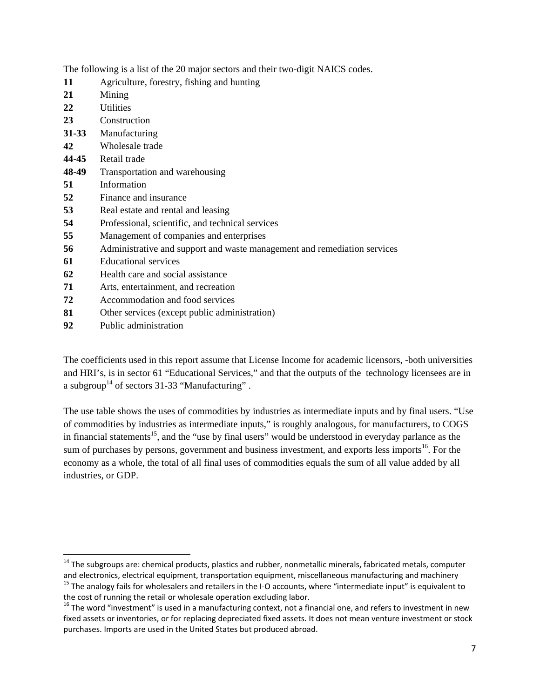The following is a list of the 20 major sectors and their two-digit NAICS codes.

- **11** Agriculture, forestry, fishing and hunting
- **21** Mining
- **22** Utilities
- **23** Construction
- **31-33** Manufacturing
- **42** Wholesale trade
- **44-45** Retail trade
- **48-49** Transportation and warehousing
- **51** Information
- **52** Finance and insurance
- **53** Real estate and rental and leasing
- **54** Professional, scientific, and technical services
- **55** Management of companies and enterprises
- **56** Administrative and support and waste management and remediation services
- **61** Educational services
- **62** Health care and social assistance
- **71** Arts, entertainment, and recreation
- **72** Accommodation and food services
- **81** Other services (except public administration)
- **92** Public administration

The coefficients used in this report assume that License Income for academic licensors, -both universities and HRI's, is in sector 61 "Educational Services," and that the outputs of the technology licensees are in a subgroup<sup>14</sup> of sectors 31-33 "Manufacturing".

The use table shows the uses of commodities by industries as intermediate inputs and by final users. "Use of commodities by industries as intermediate inputs," is roughly analogous, for manufacturers, to COGS in financial statements<sup>15</sup>, and the "use by final users" would be understood in everyday parlance as the sum of purchases by persons, government and business investment, and exports less imports<sup>16</sup>. For the economy as a whole, the total of all final uses of commodities equals the sum of all value added by all industries, or GDP.

<sup>&</sup>lt;sup>14</sup> The subgroups are: chemical products, plastics and rubber, nonmetallic minerals, fabricated metals, computer and electronics, electrical equipment, transportation equipment, miscellaneous manufacturing and machinery 15 The analogy fails for wholesalers and retailers in the I‐O accounts, where "intermediate input" is equivalent to

the cost of running the retail or wholesale operation excluding labor.<br><sup>16</sup> The word "investment" is used in a manufacturing context, not a financial one, and refers to investment in new

fixed assets or inventories, or for replacing depreciated fixed assets. It does not mean venture investment or stock purchases. Imports are used in the United States but produced abroad.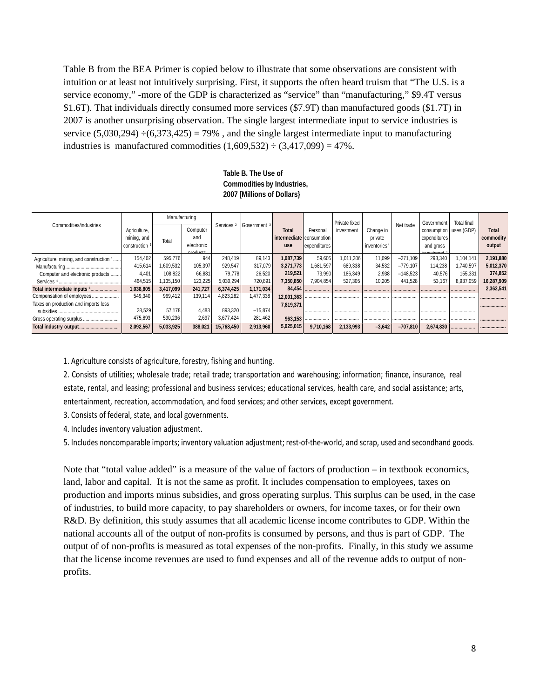Table B from the BEA Primer is copied below to illustrate that some observations are consistent with intuition or at least not intuitively surprising. First, it supports the often heard truism that "The U.S. is a service economy," -more of the GDP is characterized as "service" than "manufacturing," \$9.4T versus \$1.6T). That individuals directly consumed more services (\$7.9T) than manufactured goods (\$1.7T) in 2007 is another unsurprising observation. The single largest intermediate input to service industries is service  $(5,030,294) \div (6,373,425) = 79\%$ , and the single largest intermediate input to manufacturing industries is manufactured commodities  $(1,609,532) \div (3,417,099) = 47\%$ .

#### **Table B. The Use of Commodities by Industries, 2007 [Millions of Dollars}**

|                                         |                                             | Manufacturing |                                           |                       | Government <sup>3</sup> |                                                 |                          | Private fixed |                                                  |            | Government                                                            | <b>Total final</b> |                              |
|-----------------------------------------|---------------------------------------------|---------------|-------------------------------------------|-----------------------|-------------------------|-------------------------------------------------|--------------------------|---------------|--------------------------------------------------|------------|-----------------------------------------------------------------------|--------------------|------------------------------|
| Commodities/industries                  | Agriculture,<br>mining, and<br>construction | Total         | Computer<br>and<br>electronic<br>producto | Services <sup>2</sup> |                         | <b>Total</b><br>intermediate consumption<br>use | Personal<br>expenditures | investment    | Change in<br>private<br>inventories <sup>4</sup> | Net trade  | consumption   uses (GDP)<br>expenditures<br>and gross<br>$in a$ tmant |                    | Total<br>commodity<br>output |
| Agriculture, mining, and construction 1 | 154,402                                     | 595,776       | 944                                       | 248.419               | 89,143                  | 1,087,739                                       | 59,605                   | 1.011.206     | 11,099                                           | $-271.109$ | 293,340                                                               | 1,104,141          | 2,191,880                    |
|                                         | 415,614                                     | 1,609,532     | 105,397                                   | 929.547               | 317.079                 | 3.271.773                                       | 1,681,597                | 689,338       | 34,532                                           | $-779.107$ | 114,238                                                               | 1,740,597          | 5,012,370                    |
| Computer and electronic products        | 4.401                                       | 108.822       | 66,881                                    | 79.778                | 26.520                  | 219,521                                         | 73.990                   | 186.349       | 2,938                                            | $-148.523$ | 40,576                                                                | 155,331            | 374,852                      |
|                                         | 464,515                                     | ,135,150      | 123,225                                   | 5.030.294             | 720,891                 | 7,350,850                                       | 7.904.854                | 527.305       | 10.205                                           | 441.528    | 53,167                                                                | 8,937,059          | 16,287,909                   |
| Total intermediate inputs 5             | 1,038,805                                   | 3,417,099     | 241,727                                   | 6,374,425             | 1,171,034               | 84,454                                          |                          |               |                                                  |            |                                                                       |                    | 2,362,541                    |
| Compensation of employees               | 549,340                                     | 969.412       | 139,114                                   | 4,823,282             | 477,338                 | 12.001.363                                      |                          |               |                                                  |            |                                                                       |                    |                              |
| Taxes on production and imports less    |                                             |               |                                           |                       |                         | 7,819,371                                       |                          |               |                                                  |            |                                                                       |                    |                              |
|                                         | 28,529                                      | 57.178        | 4.483                                     | 893.320               | $-15,874$               |                                                 |                          |               |                                                  |            |                                                                       |                    |                              |
| Gross operating surplus                 | 475,893                                     | 590,236       | 2,697                                     | 3,677,424             | 281,462                 | 963,153                                         |                          |               |                                                  |            |                                                                       |                    |                              |
|                                         | 2,092,567                                   | 5,033,925     | 388,021                                   | 15,768,450            | 2,913,960               | 5,025,015                                       | 9.710.168                | 2,133,993     | $-3.642$                                         | $-707.810$ | 2.674.830                                                             |                    |                              |

1. Agriculture consists of agriculture, forestry, fishing and hunting.

2. Consists of utilities; wholesale trade; retail trade; transportation and warehousing; information; finance, insurance, real estate, rental, and leasing; professional and business services; educational services, health care, and social assistance; arts, entertainment, recreation, accommodation, and food services; and other services, except government.

3. Consists of federal, state, and local governments.

4. Includes inventory valuation adjustment.

5. Includes noncomparable imports; inventory valuation adjustment; rest-of-the-world, and scrap, used and secondhand goods.

Note that "total value added" is a measure of the value of factors of production – in textbook economics, land, labor and capital. It is not the same as profit. It includes compensation to employees, taxes on production and imports minus subsidies, and gross operating surplus. This surplus can be used, in the case of industries, to build more capacity, to pay shareholders or owners, for income taxes, or for their own R&D. By definition, this study assumes that all academic license income contributes to GDP. Within the national accounts all of the output of non-profits is consumed by persons, and thus is part of GDP. The output of of non-profits is measured as total expenses of the non-profits. Finally, in this study we assume that the license income revenues are used to fund expenses and all of the revenue adds to output of nonprofits.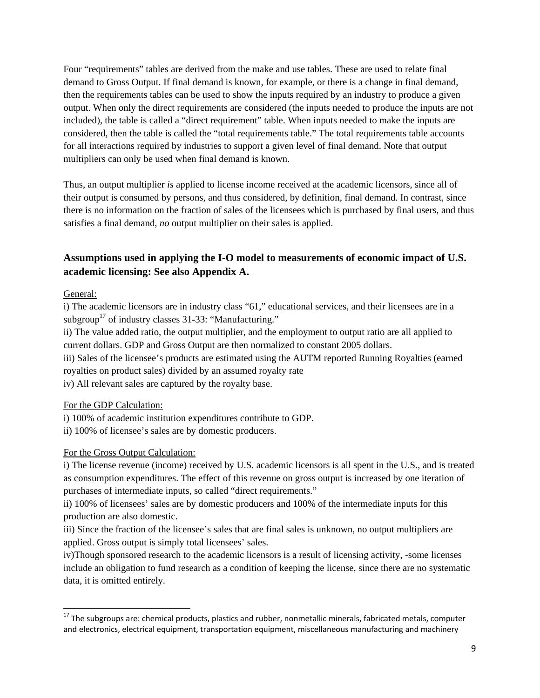Four "requirements" tables are derived from the make and use tables. These are used to relate final demand to Gross Output. If final demand is known, for example, or there is a change in final demand, then the requirements tables can be used to show the inputs required by an industry to produce a given output. When only the direct requirements are considered (the inputs needed to produce the inputs are not included), the table is called a "direct requirement" table. When inputs needed to make the inputs are considered, then the table is called the "total requirements table." The total requirements table accounts for all interactions required by industries to support a given level of final demand. Note that output multipliers can only be used when final demand is known.

Thus, an output multiplier *is* applied to license income received at the academic licensors, since all of their output is consumed by persons, and thus considered, by definition, final demand. In contrast, since there is no information on the fraction of sales of the licensees which is purchased by final users, and thus satisfies a final demand, *no* output multiplier on their sales is applied.

## **Assumptions used in applying the I-O model to measurements of economic impact of U.S. academic licensing: See also Appendix A.**

## General:

i) The academic licensors are in industry class "61," educational services, and their licensees are in a subgroup<sup>17</sup> of industry classes  $31-33$ : "Manufacturing."

ii) The value added ratio, the output multiplier, and the employment to output ratio are all applied to current dollars. GDP and Gross Output are then normalized to constant 2005 dollars.

iii) Sales of the licensee's products are estimated using the AUTM reported Running Royalties (earned royalties on product sales) divided by an assumed royalty rate

iv) All relevant sales are captured by the royalty base.

For the GDP Calculation:

i) 100% of academic institution expenditures contribute to GDP.

ii) 100% of licensee's sales are by domestic producers.

## For the Gross Output Calculation:

i) The license revenue (income) received by U.S. academic licensors is all spent in the U.S., and is treated as consumption expenditures. The effect of this revenue on gross output is increased by one iteration of purchases of intermediate inputs, so called "direct requirements."

ii) 100% of licensees' sales are by domestic producers and 100% of the intermediate inputs for this production are also domestic.

iii) Since the fraction of the licensee's sales that are final sales is unknown, no output multipliers are applied. Gross output is simply total licensees' sales.

iv)Though sponsored research to the academic licensors is a result of licensing activity, -some licenses include an obligation to fund research as a condition of keeping the license, since there are no systematic data, it is omitted entirely.

 $^{17}$  The subgroups are: chemical products, plastics and rubber, nonmetallic minerals, fabricated metals, computer and electronics, electrical equipment, transportation equipment, miscellaneous manufacturing and machinery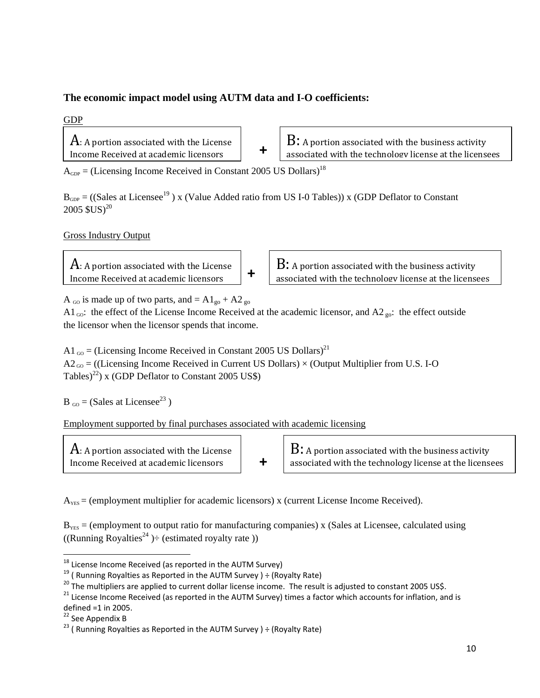## **The economic impact model using AUTM data and I-O coefficients:**

## GDP

 $\rm A$ : A portion associated with the License Income Received at academic licensors **+**

 $B:$  A portion associated with the business activity associated with the technology license at the licensees

 $A_{GDP}$  = (Licensing Income Received in Constant 2005 US Dollars)<sup>18</sup>

 $B_{GDP}$  = ((Sales at Licensee<sup>19</sup>) x (Value Added ratio from US I-0 Tables)) x (GDP Deflator to Constant  $2005$   $SUS$ <sup>20</sup>

Gross Industry Output

 $\mathbf A$ : A portion associated with the License Income Received at academic licensors

**B:** A portion associated with the business activity associated with the technology license at the licensees

A <sub>GO</sub> is made up of two parts, and  $= A1_{\text{go}} + A2_{\text{go}}$ 

A1<sub>00</sub>: the effect of the License Income Received at the academic licensor, and A2<sub>go</sub>: the effect outside the licensor when the licensor spends that income.

A1  $_{60}$  = (Licensing Income Received in Constant 2005 US Dollars)<sup>21</sup>  $A2_{00}$  = ((Licensing Income Received in Current US Dollars) × (Output Multiplier from U.S. I-O Tables)<sup>22</sup>) x (GDP Deflator to Constant 2005 US\$)

 $B_{\text{GO}} = (Sales at License^{23})$ 

Employment supported by final purchases associated with academic licensing

| $A$ : A portion associated with the License |  |
|---------------------------------------------|--|
| Income Received at academic licensors       |  |

 $B:$  A portion associated with the business activity associated with the technology license at the licensees

 $A<sub>YES</sub> =$  (employment multiplier for academic licensors) x (current License Income Received).

 $B_{YES}$  = (employment to output ratio for manufacturing companies) x (Sales at Licensee, calculated using ((Running Royalties<sup>24</sup>)  $\div$  (estimated royalty rate))

<sup>&</sup>lt;sup>18</sup> License Income Received (as reported in the AUTM Survey)

<sup>&</sup>lt;sup>19</sup> (Running Royalties as Reported in the AUTM Survey ) ÷ (Royalty Rate)<br>
<sup>20</sup> The multipliers are applied to current dollar license income. The result is adjusted to constant 2005 US\$.<br>
<sup>21</sup> License Income Received (as

<sup>&</sup>lt;sup>22</sup> See Appendix B<br><sup>23</sup> ( Running Royalties as Reported in the AUTM Survey ) ÷ (Royalty Rate)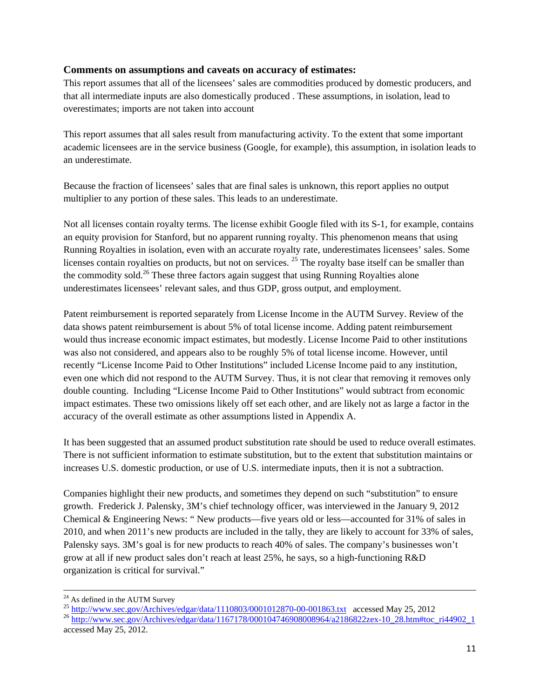## **Comments on assumptions and caveats on accuracy of estimates:**

This report assumes that all of the licensees' sales are commodities produced by domestic producers, and that all intermediate inputs are also domestically produced . These assumptions, in isolation, lead to overestimates; imports are not taken into account

This report assumes that all sales result from manufacturing activity. To the extent that some important academic licensees are in the service business (Google, for example), this assumption, in isolation leads to an underestimate.

Because the fraction of licensees' sales that are final sales is unknown, this report applies no output multiplier to any portion of these sales. This leads to an underestimate.

Not all licenses contain royalty terms. The license exhibit Google filed with its S-1, for example, contains an equity provision for Stanford, but no apparent running royalty. This phenomenon means that using Running Royalties in isolation, even with an accurate royalty rate, underestimates licensees' sales. Some licenses contain royalties on products, but not on services. <sup>25</sup> The royalty base itself can be smaller than the commodity sold.<sup>26</sup> These three factors again suggest that using Running Royalties alone underestimates licensees' relevant sales, and thus GDP, gross output, and employment.

Patent reimbursement is reported separately from License Income in the AUTM Survey. Review of the data shows patent reimbursement is about 5% of total license income. Adding patent reimbursement would thus increase economic impact estimates, but modestly. License Income Paid to other institutions was also not considered, and appears also to be roughly 5% of total license income. However, until recently "License Income Paid to Other Institutions" included License Income paid to any institution, even one which did not respond to the AUTM Survey. Thus, it is not clear that removing it removes only double counting. Including "License Income Paid to Other Institutions" would subtract from economic impact estimates. These two omissions likely off set each other, and are likely not as large a factor in the accuracy of the overall estimate as other assumptions listed in Appendix A.

It has been suggested that an assumed product substitution rate should be used to reduce overall estimates. There is not sufficient information to estimate substitution, but to the extent that substitution maintains or increases U.S. domestic production, or use of U.S. intermediate inputs, then it is not a subtraction.

Companies highlight their new products, and sometimes they depend on such "substitution" to ensure growth. Frederick J. Palensky, 3M's chief technology officer, was interviewed in the January 9, 2012 Chemical & Engineering News: " New products—five years old or less—accounted for 31% of sales in 2010, and when 2011's new products are included in the tally, they are likely to account for 33% of sales, Palensky says. 3M's goal is for new products to reach 40% of sales. The company's businesses won't grow at all if new product sales don't reach at least 25%, he says, so a high-functioning R&D organization is critical for survival."

<sup>&</sup>lt;sup>24</sup> As defined in the AUTM Survey<br>
<sup>25</sup> http://www.sec.gov/Archives/edgar/data/1110803/0001012870-00-001863.txt accessed May 25, 2012

 $^{26}$  http://www.sec.gov/Archives/edgar/data/1167178/000104746908008964/a2186822zex-10\_28.htm#toc\_ri44902\_1 accessed May 25, 2012.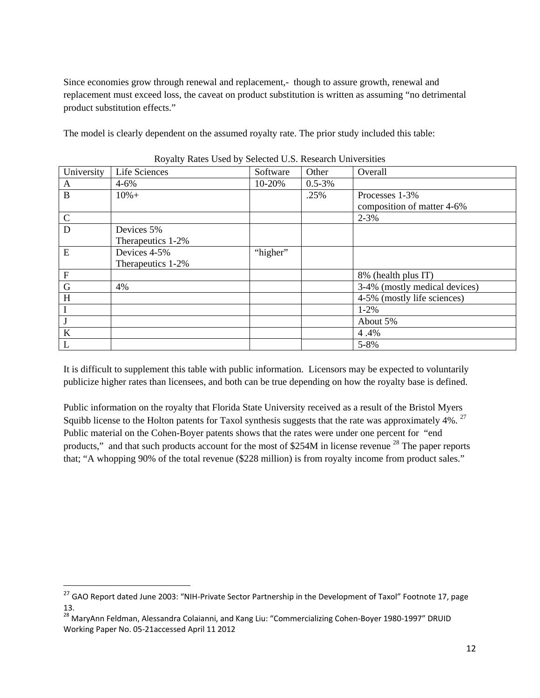Since economies grow through renewal and replacement,- though to assure growth, renewal and replacement must exceed loss, the caveat on product substitution is written as assuming "no detrimental product substitution effects."

The model is clearly dependent on the assumed royalty rate. The prior study included this table:

| University     | Life Sciences     | Software | Other       | Overall                       |
|----------------|-------------------|----------|-------------|-------------------------------|
|                |                   |          |             |                               |
| A              | $4 - 6\%$         | 10-20%   | $0.5 - 3\%$ |                               |
| B              | $10% +$           |          | .25%        | Processes 1-3%                |
|                |                   |          |             | composition of matter 4-6%    |
| $\mathbf C$    |                   |          |             | $2 - 3%$                      |
| D              | Devices 5%        |          |             |                               |
|                | Therapeutics 1-2% |          |             |                               |
| E              | Devices 4-5%      | "higher" |             |                               |
|                | Therapeutics 1-2% |          |             |                               |
| $\overline{F}$ |                   |          |             | 8% (health plus IT)           |
| $\mathbf G$    | 4%                |          |             | 3-4% (mostly medical devices) |
| H              |                   |          |             | 4-5% (mostly life sciences)   |
| I              |                   |          |             | $1 - 2\%$                     |
|                |                   |          |             | About 5%                      |
| $\bf K$        |                   |          |             | 4.4%                          |
| L              |                   |          |             | 5-8%                          |

|  | Royalty Rates Used by Selected U.S. Research Universities |  |
|--|-----------------------------------------------------------|--|
|  |                                                           |  |

It is difficult to supplement this table with public information. Licensors may be expected to voluntarily publicize higher rates than licensees, and both can be true depending on how the royalty base is defined.

Public information on the royalty that Florida State University received as a result of the Bristol Myers Squibb license to the Holton patents for Taxol synthesis suggests that the rate was approximately  $4\%$ . <sup>27</sup> Public material on the Cohen-Boyer patents shows that the rates were under one percent for "end products," and that such products account for the most of \$254M in license revenue  $^{28}$  The paper reports that; "A whopping 90% of the total revenue (\$228 million) is from royalty income from product sales."

<sup>&</sup>lt;sup>27</sup> GAO Report dated June 2003: "NIH-Private Sector Partnership in the Development of Taxol" Footnote 17, page 13.

<sup>28</sup> MaryAnn Feldman, Alessandra Colaianni, and Kang Liu: "Commercializing Cohen‐Boyer 1980‐1997" DRUID Working Paper No. 05‐21accessed April 11 2012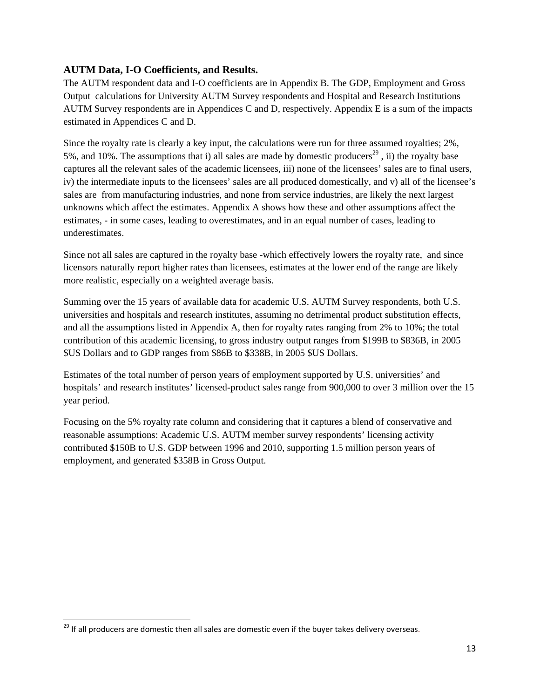## **AUTM Data, I-O Coefficients, and Results.**

The AUTM respondent data and I-O coefficients are in Appendix B. The GDP, Employment and Gross Output calculations for University AUTM Survey respondents and Hospital and Research Institutions AUTM Survey respondents are in Appendices C and D, respectively. Appendix E is a sum of the impacts estimated in Appendices C and D.

Since the royalty rate is clearly a key input, the calculations were run for three assumed royalties; 2%, 5%, and 10%. The assumptions that i) all sales are made by domestic producers<sup>29</sup>, ii) the royalty base captures all the relevant sales of the academic licensees, iii) none of the licensees' sales are to final users, iv) the intermediate inputs to the licensees' sales are all produced domestically, and v) all of the licensee's sales are from manufacturing industries, and none from service industries, are likely the next largest unknowns which affect the estimates. Appendix A shows how these and other assumptions affect the estimates, - in some cases, leading to overestimates, and in an equal number of cases, leading to underestimates.

Since not all sales are captured in the royalty base -which effectively lowers the royalty rate, and since licensors naturally report higher rates than licensees, estimates at the lower end of the range are likely more realistic, especially on a weighted average basis.

Summing over the 15 years of available data for academic U.S. AUTM Survey respondents, both U.S. universities and hospitals and research institutes, assuming no detrimental product substitution effects, and all the assumptions listed in Appendix A, then for royalty rates ranging from 2% to 10%; the total contribution of this academic licensing, to gross industry output ranges from \$199B to \$836B, in 2005 \$US Dollars and to GDP ranges from \$86B to \$338B, in 2005 \$US Dollars.

Estimates of the total number of person years of employment supported by U.S. universities' and hospitals' and research institutes' licensed-product sales range from 900,000 to over 3 million over the 15 year period.

Focusing on the 5% royalty rate column and considering that it captures a blend of conservative and reasonable assumptions: Academic U.S. AUTM member survey respondents' licensing activity contributed \$150B to U.S. GDP between 1996 and 2010, supporting 1.5 million person years of employment, and generated \$358B in Gross Output.

 <sup>29</sup> If all producers are domestic then all sales are domestic even if the buyer takes delivery overseas.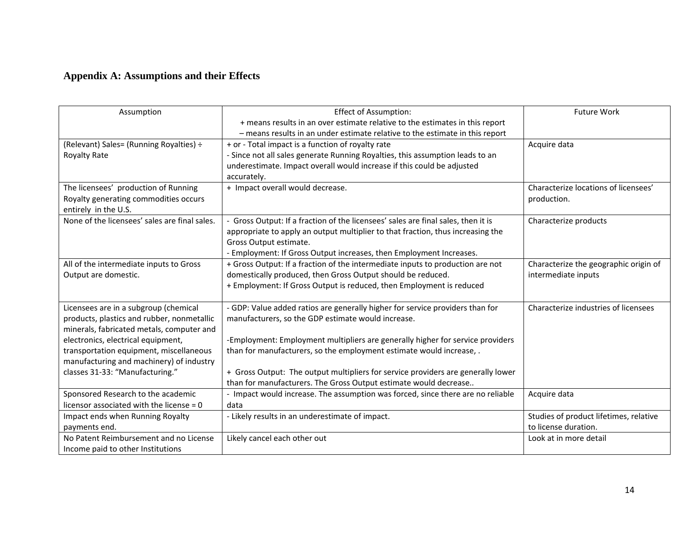# **Appendix A: Assumptions and their Effects**

| Assumption                                    | <b>Effect of Assumption:</b>                                                     | <b>Future Work</b>                     |
|-----------------------------------------------|----------------------------------------------------------------------------------|----------------------------------------|
|                                               | + means results in an over estimate relative to the estimates in this report     |                                        |
|                                               | - means results in an under estimate relative to the estimate in this report     |                                        |
| (Relevant) Sales= (Running Royalties) ÷       | + or - Total impact is a function of royalty rate                                | Acquire data                           |
| Royalty Rate                                  | - Since not all sales generate Running Royalties, this assumption leads to an    |                                        |
|                                               | underestimate. Impact overall would increase if this could be adjusted           |                                        |
|                                               | accurately.                                                                      |                                        |
| The licensees' production of Running          | + Impact overall would decrease.                                                 | Characterize locations of licensees'   |
| Royalty generating commodities occurs         |                                                                                  | production.                            |
| entirely in the U.S.                          |                                                                                  |                                        |
| None of the licensees' sales are final sales. | Gross Output: If a fraction of the licensees' sales are final sales, then it is  | Characterize products                  |
|                                               | appropriate to apply an output multiplier to that fraction, thus increasing the  |                                        |
|                                               | Gross Output estimate.                                                           |                                        |
|                                               | - Employment: If Gross Output increases, then Employment Increases.              |                                        |
| All of the intermediate inputs to Gross       | + Gross Output: If a fraction of the intermediate inputs to production are not   | Characterize the geographic origin of  |
| Output are domestic.                          | domestically produced, then Gross Output should be reduced.                      | intermediate inputs                    |
|                                               | + Employment: If Gross Output is reduced, then Employment is reduced             |                                        |
|                                               |                                                                                  |                                        |
| Licensees are in a subgroup (chemical         | - GDP: Value added ratios are generally higher for service providers than for    | Characterize industries of licensees   |
| products, plastics and rubber, nonmetallic    | manufacturers, so the GDP estimate would increase.                               |                                        |
| minerals, fabricated metals, computer and     |                                                                                  |                                        |
| electronics, electrical equipment,            | -Employment: Employment multipliers are generally higher for service providers   |                                        |
| transportation equipment, miscellaneous       | than for manufacturers, so the employment estimate would increase, .             |                                        |
| manufacturing and machinery) of industry      |                                                                                  |                                        |
| classes 31-33: "Manufacturing."               | + Gross Output: The output multipliers for service providers are generally lower |                                        |
|                                               | than for manufacturers. The Gross Output estimate would decrease                 |                                        |
| Sponsored Research to the academic            | - Impact would increase. The assumption was forced, since there are no reliable  | Acquire data                           |
| licensor associated with the license $= 0$    | data                                                                             |                                        |
| Impact ends when Running Royalty              | - Likely results in an underestimate of impact.                                  | Studies of product lifetimes, relative |
| payments end.                                 |                                                                                  | to license duration.                   |
| No Patent Reimbursement and no License        | Likely cancel each other out                                                     | Look at in more detail                 |
| Income paid to other Institutions             |                                                                                  |                                        |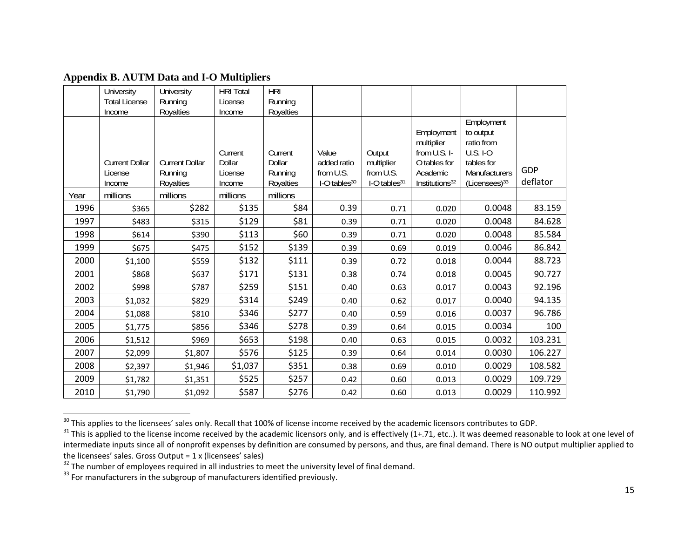|      | University                       | University                       | <b>HRI Total</b>             | HRI                          |                                   |                                   |                                                                      |                                                                                         |          |
|------|----------------------------------|----------------------------------|------------------------------|------------------------------|-----------------------------------|-----------------------------------|----------------------------------------------------------------------|-----------------------------------------------------------------------------------------|----------|
|      | <b>Total License</b>             | Running                          | License                      | Running                      |                                   |                                   |                                                                      |                                                                                         |          |
|      | Income                           | Royalties                        | Income                       | Royalties                    |                                   |                                   |                                                                      |                                                                                         |          |
|      | <b>Current Dollar</b><br>License | <b>Current Dollar</b><br>Running | Current<br>Dollar<br>License | Current<br>Dollar<br>Running | Value<br>added ratio<br>from U.S. | Output<br>multiplier<br>from U.S. | Employment<br>multiplier<br>from U.S. I-<br>O tables for<br>Academic | Employment<br>to output<br>ratio from<br><b>U.S. I-O</b><br>tables for<br>Manufacturers | GDP      |
|      | Income                           | Royalties                        | Income                       | Royalties                    | I-O tables <sup>30</sup>          | I-O tables <sup>31</sup>          | Institutions <sup>32</sup>                                           | $(Licenses)^{33}$                                                                       | deflator |
| Year | millions                         | millions                         | millions                     | millions                     |                                   |                                   |                                                                      |                                                                                         |          |
| 1996 | \$365                            | \$282                            | \$135                        | \$84                         | 0.39                              | 0.71                              | 0.020                                                                | 0.0048                                                                                  | 83.159   |
| 1997 | \$483                            | \$315                            | \$129                        | \$81                         | 0.39                              | 0.71                              | 0.020                                                                | 0.0048                                                                                  | 84.628   |
| 1998 | \$614                            | \$390                            | \$113                        | \$60                         | 0.39                              | 0.71                              | 0.020                                                                | 0.0048                                                                                  | 85.584   |
| 1999 | \$675                            | \$475                            | \$152                        | \$139                        | 0.39                              | 0.69                              | 0.019                                                                | 0.0046                                                                                  | 86.842   |
| 2000 | \$1,100                          | \$559                            | \$132                        | \$111                        | 0.39                              | 0.72                              | 0.018                                                                | 0.0044                                                                                  | 88.723   |
| 2001 | \$868                            | \$637                            | \$171                        | \$131                        | 0.38                              | 0.74                              | 0.018                                                                | 0.0045                                                                                  | 90.727   |
| 2002 | \$998                            | \$787                            | \$259                        | \$151                        | 0.40                              | 0.63                              | 0.017                                                                | 0.0043                                                                                  | 92.196   |
| 2003 | \$1,032                          | \$829                            | \$314                        | \$249                        | 0.40                              | 0.62                              | 0.017                                                                | 0.0040                                                                                  | 94.135   |
| 2004 | \$1,088                          | \$810                            | \$346                        | \$277                        | 0.40                              | 0.59                              | 0.016                                                                | 0.0037                                                                                  | 96.786   |
| 2005 | \$1,775                          | \$856                            | \$346                        | \$278                        | 0.39                              | 0.64                              | 0.015                                                                | 0.0034                                                                                  | 100      |
| 2006 | \$1,512                          | \$969                            | \$653                        | \$198                        | 0.40                              | 0.63                              | 0.015                                                                | 0.0032                                                                                  | 103.231  |
| 2007 | \$2,099                          | \$1,807                          | \$576                        | \$125                        | 0.39                              | 0.64                              | 0.014                                                                | 0.0030                                                                                  | 106.227  |
| 2008 | \$2,397                          | \$1,946                          | \$1,037                      | \$351                        | 0.38                              | 0.69                              | 0.010                                                                | 0.0029                                                                                  | 108.582  |
| 2009 | \$1,782                          | \$1,351                          | \$525                        | \$257                        | 0.42                              | 0.60                              | 0.013                                                                | 0.0029                                                                                  | 109.729  |
| 2010 | \$1,790                          | \$1,092                          | \$587                        | \$276                        | 0.42                              | 0.60                              | 0.013                                                                | 0.0029                                                                                  | 110.992  |

**Appendix B. AUTM Data and I-O Multipliers** 

<sup>&</sup>lt;sup>30</sup> This applies to the licensees' sales only. Recall that 100% of license income received by the academic licensors contributes to GDP.<br><sup>31</sup> This is applied to the license income received by the academic licensors only, intermediate inputs since all of nonprofit expenses by definition are consumed by persons, and thus, are final demand. There is NO output multiplier applied to the licensees' sales. Gross Output <sup>=</sup> 1 <sup>x</sup> (licensees' sales)

<sup>&</sup>lt;sup>32</sup> The number of employees required in all industries to meet the university level of final demand.<br><sup>33</sup> For manufacturers in the subgroup of manufacturers identified previously.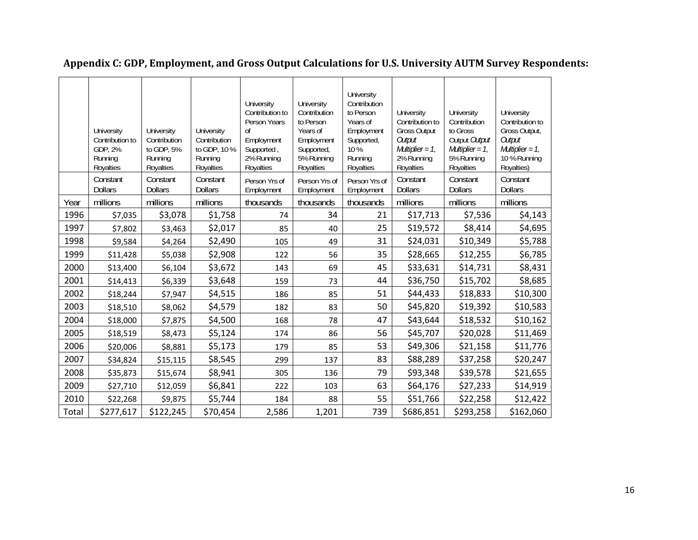|       | University<br>Contribution to<br>GDP, 2%<br>Running<br>Royalties | University<br>Contribution<br>to GDP, 5%<br>Running<br>Royalties | University<br>Contribution<br>to GDP, 10 %<br>Running<br>Royalties | University<br>Contribution to<br>Person Years<br><sub>of</sub><br>Employment<br>Supported,<br>2% Running<br>Royalties | University<br>Contribution<br>to Person<br>Years of<br>Employment<br>Supported,<br>5% Running<br>Royalties | University<br>Contribution<br>to Person<br>Years of<br>Employment<br>Supported,<br>$10\%$<br>Running<br>Royalties | University<br>Contribution to<br><b>Gross Output</b><br>Output<br>Multiplier = $1$ ,<br>2% Running<br>Royalties | University<br>Contribution<br>to Gross<br>Output Output<br>Multiplier = $1$ ,<br>5% Running<br>Royalties | University<br>Contribution to<br>Gross Output,<br>Output<br>Multiplier = $1$ ,<br>10 % Running<br>Royalties) |
|-------|------------------------------------------------------------------|------------------------------------------------------------------|--------------------------------------------------------------------|-----------------------------------------------------------------------------------------------------------------------|------------------------------------------------------------------------------------------------------------|-------------------------------------------------------------------------------------------------------------------|-----------------------------------------------------------------------------------------------------------------|----------------------------------------------------------------------------------------------------------|--------------------------------------------------------------------------------------------------------------|
|       | Constant<br><b>Dollars</b>                                       | Constant<br><b>Dollars</b>                                       | Constant<br><b>Dollars</b>                                         | Person Yrs of<br>Employment                                                                                           | Person Yrs of<br>Employment                                                                                | Person Yrs of<br>Employment                                                                                       | Constant<br><b>Dollars</b>                                                                                      | Constant<br><b>Dollars</b>                                                                               | Constant<br><b>Dollars</b>                                                                                   |
| Year  | millions                                                         | millions                                                         | millions                                                           | thousands                                                                                                             | thousands                                                                                                  | thousands                                                                                                         | millions                                                                                                        | millions                                                                                                 | millions                                                                                                     |
| 1996  | \$7,035                                                          | \$3,078                                                          | \$1,758                                                            | 74                                                                                                                    | 34                                                                                                         | 21                                                                                                                | \$17,713                                                                                                        | \$7,536                                                                                                  | \$4,143                                                                                                      |
| 1997  | \$7,802                                                          | \$3,463                                                          | \$2,017                                                            | 85                                                                                                                    | 40                                                                                                         | 25                                                                                                                | \$19,572                                                                                                        | \$8,414                                                                                                  | \$4,695                                                                                                      |
| 1998  | \$9,584                                                          | \$4,264                                                          | \$2,490                                                            | 105                                                                                                                   | 49                                                                                                         | 31                                                                                                                | \$24,031                                                                                                        | \$10,349                                                                                                 | \$5,788                                                                                                      |
| 1999  | \$11,428                                                         | \$5,038                                                          | \$2,908                                                            | 122                                                                                                                   | 56                                                                                                         | 35                                                                                                                | \$28,665                                                                                                        | \$12,255                                                                                                 | \$6,785                                                                                                      |
| 2000  | \$13,400                                                         | \$6,104                                                          | \$3,672                                                            | 143                                                                                                                   | 69                                                                                                         | 45                                                                                                                | \$33,631                                                                                                        | \$14,731                                                                                                 | \$8,431                                                                                                      |
| 2001  | \$14,413                                                         | \$6,339                                                          | \$3,648                                                            | 159                                                                                                                   | 73                                                                                                         | 44                                                                                                                | \$36,750                                                                                                        | \$15,702                                                                                                 | \$8,685                                                                                                      |
| 2002  | \$18,244                                                         | \$7,947                                                          | \$4,515                                                            | 186                                                                                                                   | 85                                                                                                         | 51                                                                                                                | \$44,433                                                                                                        | \$18,833                                                                                                 | \$10,300                                                                                                     |
| 2003  | \$18,510                                                         | \$8,062                                                          | \$4,579                                                            | 182                                                                                                                   | 83                                                                                                         | 50                                                                                                                | \$45,820                                                                                                        | \$19,392                                                                                                 | \$10,583                                                                                                     |
| 2004  | \$18,000                                                         | \$7,875                                                          | \$4,500                                                            | 168                                                                                                                   | 78                                                                                                         | 47                                                                                                                | \$43,644                                                                                                        | \$18,532                                                                                                 | \$10,162                                                                                                     |
| 2005  | \$18,519                                                         | \$8,473                                                          | \$5,124                                                            | 174                                                                                                                   | 86                                                                                                         | 56                                                                                                                | \$45,707                                                                                                        | \$20,028                                                                                                 | \$11,469                                                                                                     |
| 2006  | \$20,006                                                         | \$8,881                                                          | \$5,173                                                            | 179                                                                                                                   | 85                                                                                                         | 53                                                                                                                | \$49,306                                                                                                        | \$21,158                                                                                                 | \$11,776                                                                                                     |
| 2007  | \$34,824                                                         | \$15,115                                                         | \$8,545                                                            | 299                                                                                                                   | 137                                                                                                        | 83                                                                                                                | \$88,289                                                                                                        | \$37,258                                                                                                 | \$20,247                                                                                                     |
| 2008  | \$35,873                                                         | \$15,674                                                         | \$8,941                                                            | 305                                                                                                                   | 136                                                                                                        | 79                                                                                                                | \$93,348                                                                                                        | \$39,578                                                                                                 | \$21,655                                                                                                     |
| 2009  | \$27,710                                                         | \$12,059                                                         | \$6,841                                                            | 222                                                                                                                   | 103                                                                                                        | 63                                                                                                                | \$64,176                                                                                                        | \$27,233                                                                                                 | \$14,919                                                                                                     |
| 2010  | \$22,268                                                         | \$9,875                                                          | \$5,744                                                            | 184                                                                                                                   | 88                                                                                                         | 55                                                                                                                | \$51,766                                                                                                        | \$22,258                                                                                                 | \$12,422                                                                                                     |
| Total | \$277,617                                                        | \$122,245                                                        | \$70,454                                                           | 2,586                                                                                                                 | 1,201                                                                                                      | 739                                                                                                               | \$686,851                                                                                                       | \$293,258                                                                                                | \$162,060                                                                                                    |

# **Appendix C: GDP, Employment, and Gross Output Calculations for U.S. University AUTM Survey Respondents:**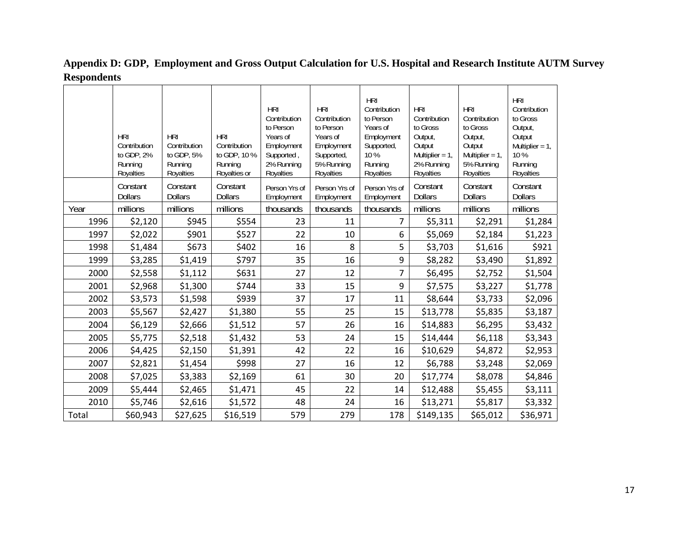|       | <b>HRI</b><br>Contribution<br>to GDP, 2%<br>Running<br>Royalties | <b>HRI</b><br>Contribution<br>to GDP, 5%<br>Running<br>Royalties | <b>HRI</b><br>Contribution<br>to GDP, 10 %<br>Running<br>Royalties or | <b>HRI</b><br>Contribution<br>to Person<br>Years of<br>Employment<br>Supported,<br>2% Running<br>Royalties | <b>HRI</b><br>Contribution<br>to Person<br>Years of<br>Employment<br>Supported,<br>5% Running<br>Royalties | <b>HRI</b><br>Contribution<br>to Person<br>Years of<br>Employment<br>Supported,<br>10 %<br>Running<br>Royalties | <b>HRI</b><br>Contribution<br>to Gross<br>Output,<br>Output<br>Multiplier = $1$ ,<br>2% Running<br>Royalties | <b>HRI</b><br>Contribution<br>to Gross<br>Output,<br>Output<br>Multiplier = $1$ ,<br>5% Running<br>Royalties | <b>HRI</b><br>Contribution<br>to Gross<br>Output,<br>Output<br>Multiplier = $1$ ,<br>10%<br>Running<br>Royalties |
|-------|------------------------------------------------------------------|------------------------------------------------------------------|-----------------------------------------------------------------------|------------------------------------------------------------------------------------------------------------|------------------------------------------------------------------------------------------------------------|-----------------------------------------------------------------------------------------------------------------|--------------------------------------------------------------------------------------------------------------|--------------------------------------------------------------------------------------------------------------|------------------------------------------------------------------------------------------------------------------|
|       | Constant<br><b>Dollars</b>                                       | Constant<br><b>Dollars</b>                                       | Constant<br><b>Dollars</b>                                            | Person Yrs of<br>Employment                                                                                | Person Yrs of<br>Employment                                                                                | Person Yrs of<br>Employment                                                                                     | Constant<br><b>Dollars</b>                                                                                   | Constant<br><b>Dollars</b>                                                                                   | Constant<br><b>Dollars</b>                                                                                       |
| Year  | millions                                                         | millions                                                         | millions                                                              | thousands                                                                                                  | thousands                                                                                                  | thousands                                                                                                       | millions                                                                                                     | millions                                                                                                     | millions                                                                                                         |
| 1996  | \$2,120                                                          | \$945                                                            | \$554                                                                 | 23                                                                                                         | 11                                                                                                         | 7                                                                                                               | \$5,311                                                                                                      | \$2,291                                                                                                      | \$1,284                                                                                                          |
| 1997  | \$2,022                                                          | \$901                                                            | \$527                                                                 | 22                                                                                                         | 10                                                                                                         | 6                                                                                                               | \$5,069                                                                                                      | \$2,184                                                                                                      | \$1,223                                                                                                          |
| 1998  | \$1,484                                                          | \$673                                                            | \$402                                                                 | 16                                                                                                         | 8                                                                                                          | 5                                                                                                               | \$3,703                                                                                                      | \$1,616                                                                                                      | \$921                                                                                                            |
| 1999  | \$3,285                                                          | \$1,419                                                          | \$797                                                                 | 35                                                                                                         | 16                                                                                                         | 9                                                                                                               | \$8,282                                                                                                      | \$3,490                                                                                                      | \$1,892                                                                                                          |
| 2000  | \$2,558                                                          | \$1,112                                                          | \$631                                                                 | 27                                                                                                         | 12                                                                                                         | $\overline{7}$                                                                                                  | \$6,495                                                                                                      | \$2,752                                                                                                      | \$1,504                                                                                                          |
| 2001  | \$2,968                                                          | \$1,300                                                          | \$744                                                                 | 33                                                                                                         | 15                                                                                                         | 9                                                                                                               | \$7,575                                                                                                      | \$3,227                                                                                                      | \$1,778                                                                                                          |
| 2002  | \$3,573                                                          | \$1,598                                                          | \$939                                                                 | 37                                                                                                         | 17                                                                                                         | 11                                                                                                              | \$8,644                                                                                                      | \$3,733                                                                                                      | \$2,096                                                                                                          |
| 2003  | \$5,567                                                          | \$2,427                                                          | \$1,380                                                               | 55                                                                                                         | 25                                                                                                         | 15                                                                                                              | \$13,778                                                                                                     | \$5,835                                                                                                      | \$3,187                                                                                                          |
| 2004  | \$6,129                                                          | \$2,666                                                          | \$1,512                                                               | 57                                                                                                         | 26                                                                                                         | 16                                                                                                              | \$14,883                                                                                                     | \$6,295                                                                                                      | \$3,432                                                                                                          |
| 2005  | \$5,775                                                          | \$2,518                                                          | \$1,432                                                               | 53                                                                                                         | 24                                                                                                         | 15                                                                                                              | \$14,444                                                                                                     | \$6,118                                                                                                      | \$3,343                                                                                                          |
| 2006  | \$4,425                                                          | \$2,150                                                          | \$1,391                                                               | 42                                                                                                         | 22                                                                                                         | 16                                                                                                              | \$10,629                                                                                                     | \$4,872                                                                                                      | \$2,953                                                                                                          |
| 2007  | \$2,821                                                          | \$1,454                                                          | \$998                                                                 | 27                                                                                                         | 16                                                                                                         | 12                                                                                                              | \$6,788                                                                                                      | \$3,248                                                                                                      | \$2,069                                                                                                          |
| 2008  | \$7,025                                                          | \$3,383                                                          | \$2,169                                                               | 61                                                                                                         | 30                                                                                                         | 20                                                                                                              | \$17,774                                                                                                     | \$8,078                                                                                                      | \$4,846                                                                                                          |
| 2009  | \$5,444                                                          | \$2,465                                                          | \$1,471                                                               | 45                                                                                                         | 22                                                                                                         | 14                                                                                                              | \$12,488                                                                                                     | \$5,455                                                                                                      | \$3,111                                                                                                          |
| 2010  | \$5,746                                                          | \$2,616                                                          | \$1,572                                                               | 48                                                                                                         | 24                                                                                                         | 16                                                                                                              | \$13,271                                                                                                     | \$5,817                                                                                                      | \$3,332                                                                                                          |
| Total | \$60,943                                                         | \$27,625                                                         | \$16,519                                                              | 579                                                                                                        | 279                                                                                                        | 178                                                                                                             | \$149,135                                                                                                    | \$65,012                                                                                                     | \$36,971                                                                                                         |

**Appendix D: GDP, Employment and Gross Output Calculation for U.S. Hospital and Research Institute AUTM Survey Respondents**